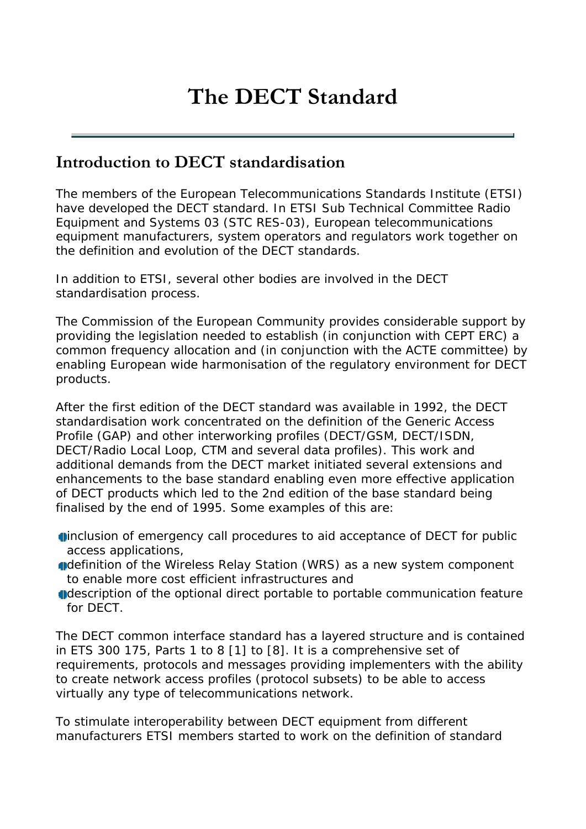# **The DECT Standard**

## **Introduction to DECT standardisation**

The members of the European Telecommunications Standards Institute (ETSI) have developed the DECT standard. In ETSI Sub Technical Committee Radio Equipment and Systems 03 (STC RES-03), European telecommunications equipment manufacturers, system operators and regulators work together on the definition and evolution of the DECT standards.

In addition to ETSI, several other bodies are involved in the DECT standardisation process.

The Commission of the European Community provides considerable support by providing the legislation needed to establish (in conjunction with CEPT ERC) a common frequency allocation and (in conjunction with the ACTE committee) by enabling European wide harmonisation of the regulatory environment for DECT products.

After the first edition of the DECT standard was available in 1992, the DECT standardisation work concentrated on the definition of the Generic Access Profile (GAP) and other interworking profiles (DECT/GSM, DECT/ISDN, DECT/Radio Local Loop, CTM and several data profiles). This work and additional demands from the DECT market initiated several extensions and enhancements to the base standard enabling even more effective application of DECT products which led to the 2nd edition of the base standard being finalised by the end of 1995. Some examples of this are:

- inclusion of emergency call procedures to aid acceptance of DECT for public access applications,
- definition of the Wireless Relay Station (WRS) as a new system component to enable more cost efficient infrastructures and
- description of the optional direct portable to portable communication feature for DECT.

The DECT common interface standard has a layered structure and is contained in ETS 300 175, Parts 1 to 8 [1] to [8]. It is a comprehensive set of requirements, protocols and messages providing implementers with the ability to create network access profiles (protocol subsets) to be able to access virtually any type of telecommunications network.

To stimulate interoperability between DECT equipment from different manufacturers ETSI members started to work on the definition of standard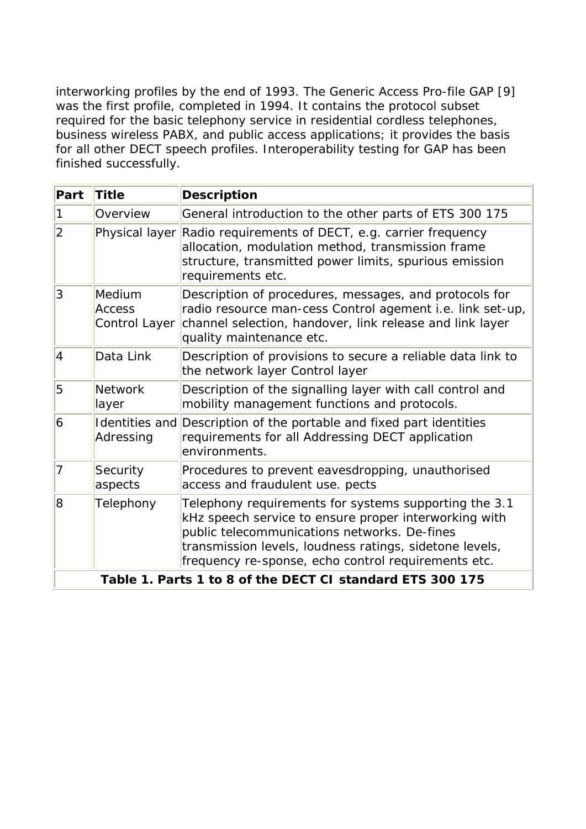interworking profiles by the end of 1993. The Generic Access Pro-file GAP [9] was the first profile, completed in 1994. It contains the protocol subset required for the basic telephony service in residential cordless telephones, business wireless PABX, and public access applications; it provides the basis for all other DECT speech profiles. Interoperability testing for GAP has been finished successfully.

| Part                                                      | <b>Title</b>                             | <b>Description</b>                                                                                                                                                                                                                                                               |
|-----------------------------------------------------------|------------------------------------------|----------------------------------------------------------------------------------------------------------------------------------------------------------------------------------------------------------------------------------------------------------------------------------|
|                                                           |                                          |                                                                                                                                                                                                                                                                                  |
| 1                                                         | Overview                                 | General introduction to the other parts of ETS 300 175                                                                                                                                                                                                                           |
| $\overline{2}$                                            |                                          | Physical layer Radio requirements of DECT, e.g. carrier frequency<br>allocation, modulation method, transmission frame<br>structure, transmitted power limits, spurious emission<br>requirements etc.                                                                            |
| 3                                                         | Medium<br><b>Access</b><br>Control Layer | Description of procedures, messages, and protocols for<br>radio resource man-cess Control agement i.e. link set-up,<br>channel selection, handover, link release and link layer<br>quality maintenance etc.                                                                      |
| $\vert 4 \vert$                                           | Data Link                                | Description of provisions to secure a reliable data link to<br>the network layer Control layer                                                                                                                                                                                   |
| 5                                                         | <b>Network</b><br>layer                  | Description of the signalling layer with call control and<br>mobility management functions and protocols.                                                                                                                                                                        |
| $\overline{6}$                                            | Adressing                                | Identities and Description of the portable and fixed part identities<br>requirements for all Addressing DECT application<br>environments.                                                                                                                                        |
| 7                                                         | Security<br>aspects                      | Procedures to prevent eavesdropping, unauthorised<br>access and fraudulent use. pects                                                                                                                                                                                            |
| 8                                                         | Telephony                                | Telephony requirements for systems supporting the 3.1<br>kHz speech service to ensure proper interworking with<br>public telecommunications networks. De-fines<br>transmission levels, loudness ratings, sidetone levels,<br>frequency re-sponse, echo control requirements etc. |
| Table 1. Parts 1 to 8 of the DECT CI standard ETS 300 175 |                                          |                                                                                                                                                                                                                                                                                  |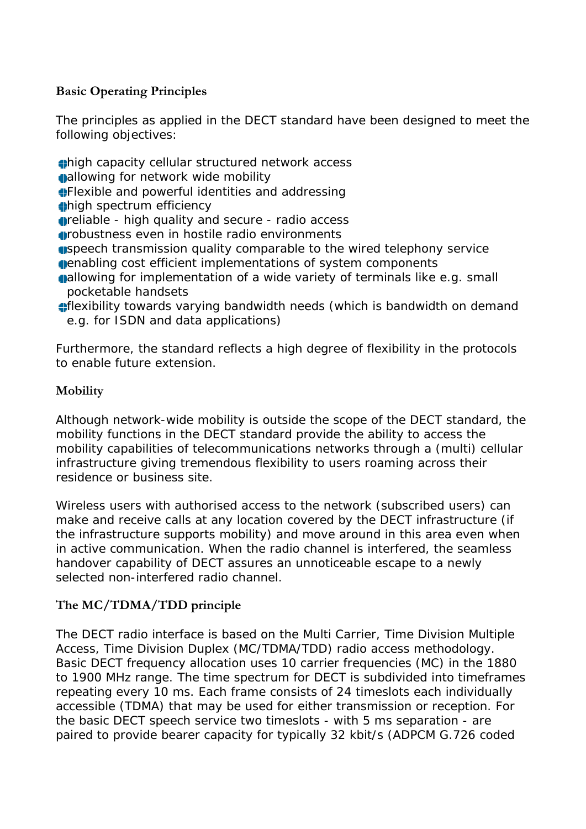## **Basic Operating Principles**

The principles as applied in the DECT standard have been designed to meet the following objectives:

high capacity cellular structured network access

allowing for network wide mobility

Flexible and powerful identities and addressing

high spectrum efficiency

**r**eliable - high quality and secure - radio access

- robustness even in hostile radio environments
- speech transmission quality comparable to the wired telephony service enabling cost efficient implementations of system components
- **allowing for implementation of a wide variety of terminals like e.g. small** pocketable handsets
- flexibility towards varying bandwidth needs (which is bandwidth on demand e.g. for ISDN and data applications)

Furthermore, the standard reflects a high degree of flexibility in the protocols to enable future extension.

## **Mobility**

Although network-wide mobility is outside the scope of the DECT standard, the mobility functions in the DECT standard provide the ability to access the mobility capabilities of telecommunications networks through a (multi) cellular infrastructure giving tremendous flexibility to users roaming across their residence or business site.

Wireless users with authorised access to the network (subscribed users) can make and receive calls at any location covered by the DECT infrastructure (if the infrastructure supports mobility) and move around in this area even when in active communication. When the radio channel is interfered, the seamless handover capability of DECT assures an unnoticeable escape to a newly selected non-interfered radio channel.

## **The MC/TDMA/TDD principle**

The DECT radio interface is based on the Multi Carrier, Time Division Multiple Access, Time Division Duplex (MC/TDMA/TDD) radio access methodology. Basic DECT frequency allocation uses 10 carrier frequencies (MC) in the 1880 to 1900 MHz range. The time spectrum for DECT is subdivided into timeframes repeating every 10 ms. Each frame consists of 24 timeslots each individually accessible (TDMA) that may be used for either transmission or reception. For the basic DECT speech service two timeslots - with 5 ms separation - are paired to provide bearer capacity for typically 32 kbit/s (ADPCM G.726 coded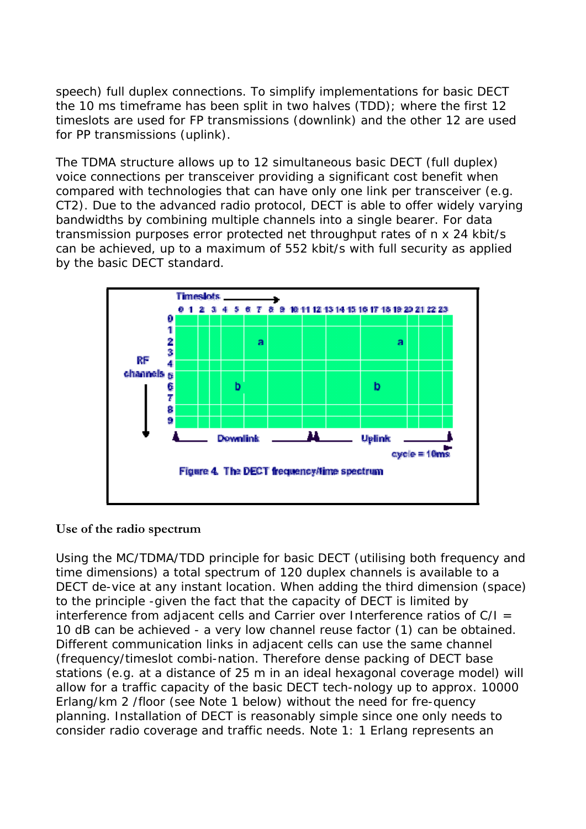speech) full duplex connections. To simplify implementations for basic DECT the 10 ms timeframe has been split in two halves (TDD); where the first 12 timeslots are used for FP transmissions (downlink) and the other 12 are used for PP transmissions (uplink).

The TDMA structure allows up to 12 simultaneous basic DECT (full duplex) voice connections per transceiver providing a significant cost benefit when compared with technologies that can have only one link per transceiver (e.g. CT2). Due to the advanced radio protocol, DECT is able to offer widely varying bandwidths by combining multiple channels into a single bearer. For data transmission purposes error protected net throughput rates of n x 24 kbit/s can be achieved, up to a maximum of 552 kbit/s with full security as applied by the basic DECT standard.



## **Use of the radio spectrum**

Using the MC/TDMA/TDD principle for basic DECT (utilising both frequency and time dimensions) a total spectrum of 120 duplex channels is available to a DECT de-vice at any instant location. When adding the third dimension (space) to the principle -given the fact that the capacity of DECT is limited by interference from adjacent cells and Carrier over Interference ratios of  $C/I =$ 10 dB can be achieved - a very low channel reuse factor (1) can be obtained. Different communication links in adjacent cells can use the same channel (frequency/timeslot combi-nation. Therefore dense packing of DECT base stations (e.g. at a distance of 25 m in an ideal hexagonal coverage model) will allow for a traffic capacity of the basic DECT tech-nology up to approx. 10000 Erlang/km 2 /floor (see Note 1 below) without the need for fre-quency planning. Installation of DECT is reasonably simple since one only needs to consider radio coverage and traffic needs. Note 1: 1 Erlang represents an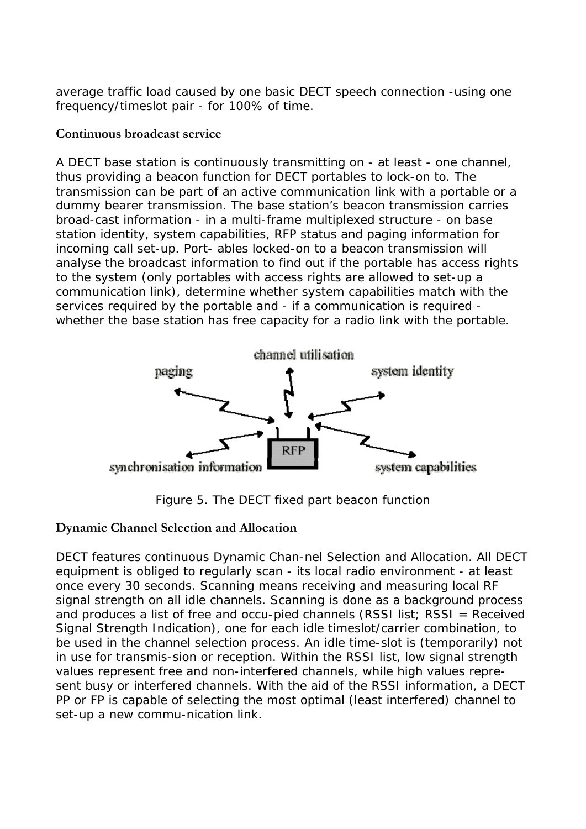average traffic load caused by one basic DECT speech connection -using one frequency/timeslot pair - for 100% of time.

#### **Continuous broadcast service**

A DECT base station is continuously transmitting on - at least - one channel, thus providing a beacon function for DECT portables to lock-on to. The transmission can be part of an active communication link with a portable or a dummy bearer transmission. The base station's beacon transmission carries broad-cast information - in a multi-frame multiplexed structure - on base station identity, system capabilities, RFP status and paging information for incoming call set-up. Port- ables locked-on to a beacon transmission will analyse the broadcast information to find out if the portable has access rights to the system (only portables with access rights are allowed to set-up a communication link), determine whether system capabilities match with the services required by the portable and - if a communication is required whether the base station has free capacity for a radio link with the portable.



Figure 5. The DECT fixed part beacon function

#### **Dynamic Channel Selection and Allocation**

DECT features continuous Dynamic Chan-nel Selection and Allocation. All DECT equipment is obliged to regularly scan - its local radio environment - at least once every 30 seconds. Scanning means receiving and measuring local RF signal strength on all idle channels. Scanning is done as a background process and produces a list of free and occu-pied channels (RSSI list; RSSI = Received Signal Strength Indication), one for each idle timeslot/carrier combination, to be used in the channel selection process. An idle time-slot is (temporarily) not in use for transmis-sion or reception. Within the RSSI list, low signal strength values represent free and non-interfered channels, while high values represent busy or interfered channels. With the aid of the RSSI information, a DECT PP or FP is capable of selecting the most optimal (least interfered) channel to set-up a new commu-nication link.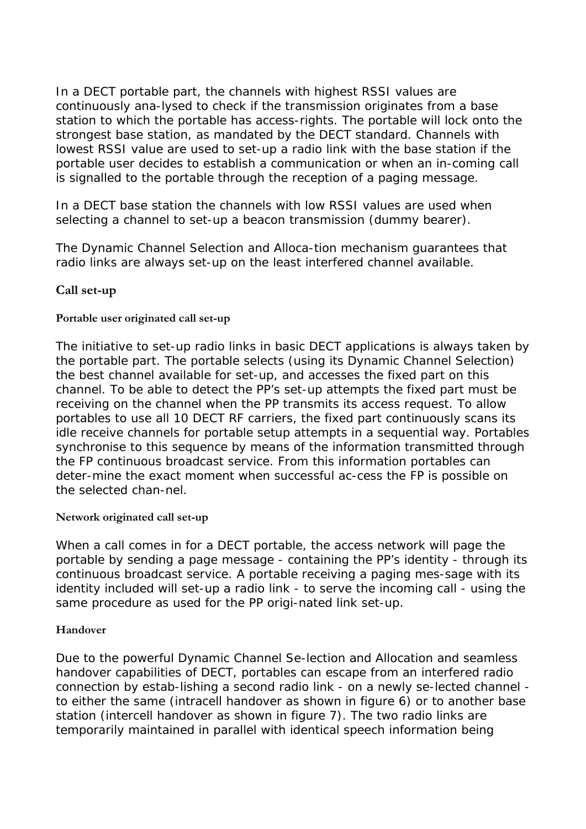In a DECT portable part, the channels with highest RSSI values are continuously ana-lysed to check if the transmission originates from a base station to which the portable has access-rights. The portable will lock onto the strongest base station, as mandated by the DECT standard. Channels with lowest RSSI value are used to set-up a radio link with the base station if the portable user decides to establish a communication or when an in-coming call is signalled to the portable through the reception of a paging message.

In a DECT base station the channels with low RSSI values are used when selecting a channel to set-up a beacon transmission (dummy bearer).

The Dynamic Channel Selection and Alloca-tion mechanism guarantees that radio links are always set-up on the least interfered channel available.

## **Call set-up**

#### **Portable user originated call set-up**

The initiative to set-up radio links in basic DECT applications is always taken by the portable part. The portable selects (using its Dynamic Channel Selection) the best channel available for set-up, and accesses the fixed part on this channel. To be able to detect the PP's set-up attempts the fixed part must be receiving on the channel when the PP transmits its access request. To allow portables to use all 10 DECT RF carriers, the fixed part continuously scans its idle receive channels for portable setup attempts in a sequential way. Portables synchronise to this sequence by means of the information transmitted through the FP continuous broadcast service. From this information portables can deter-mine the exact moment when successful ac-cess the FP is possible on the selected chan-nel.

#### **Network originated call set-up**

When a call comes in for a DECT portable, the access network will page the portable by sending a page message - containing the PP's identity - through its continuous broadcast service. A portable receiving a paging mes-sage with its identity included will set-up a radio link - to serve the incoming call - using the same procedure as used for the PP origi-nated link set-up.

#### **Handover**

Due to the powerful Dynamic Channel Se-lection and Allocation and seamless handover capabilities of DECT, portables can escape from an interfered radio connection by estab-lishing a second radio link - on a newly se-lected channel to either the same (intracell handover as shown in figure 6) or to another base station (intercell handover as shown in figure 7). The two radio links are temporarily maintained in parallel with identical speech information being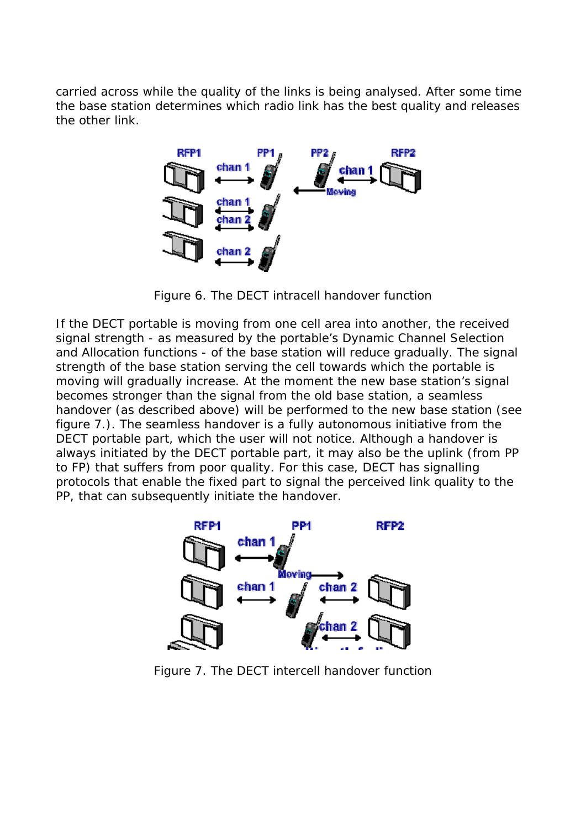carried across while the quality of the links is being analysed. After some time the base station determines which radio link has the best quality and releases the other link.



Figure 6. The DECT intracell handover function

If the DECT portable is moving from one cell area into another, the received signal strength - as measured by the portable's Dynamic Channel Selection and Allocation functions - of the base station will reduce gradually. The signal strength of the base station serving the cell towards which the portable is moving will gradually increase. At the moment the new base station's signal becomes stronger than the signal from the old base station, a seamless handover (as described above) will be performed to the new base station (see figure 7.). The seamless handover is a fully autonomous initiative from the DECT portable part, which the user will not notice. Although a handover is always initiated by the DECT portable part, it may also be the uplink (from PP to FP) that suffers from poor quality. For this case, DECT has signalling protocols that enable the fixed part to signal the perceived link quality to the PP, that can subsequently initiate the handover.



Figure 7. The DECT intercell handover function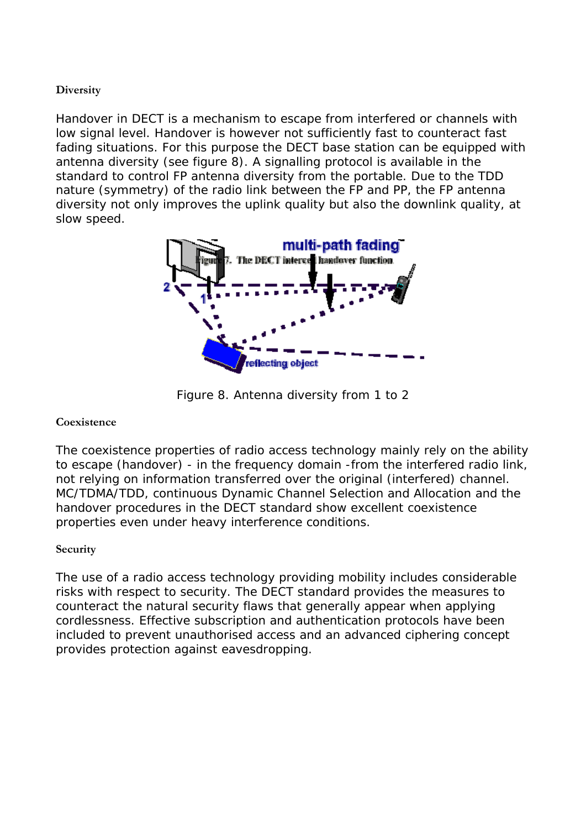#### **Diversity**

Handover in DECT is a mechanism to escape from interfered or channels with low signal level. Handover is however not sufficiently fast to counteract fast fading situations. For this purpose the DECT base station can be equipped with antenna diversity (see figure 8). A signalling protocol is available in the standard to control FP antenna diversity from the portable. Due to the TDD nature (symmetry) of the radio link between the FP and PP, the FP antenna diversity not only improves the uplink quality but also the downlink quality, at slow speed.



Figure 8. Antenna diversity from 1 to 2

#### **Coexistence**

The coexistence properties of radio access technology mainly rely on the ability to escape (handover) - in the frequency domain -from the interfered radio link, not relying on information transferred over the original (interfered) channel. MC/TDMA/TDD, continuous Dynamic Channel Selection and Allocation and the handover procedures in the DECT standard show excellent coexistence properties even under heavy interference conditions.

#### **Security**

The use of a radio access technology providing mobility includes considerable risks with respect to security. The DECT standard provides the measures to counteract the natural security flaws that generally appear when applying cordlessness. Effective subscription and authentication protocols have been included to prevent unauthorised access and an advanced ciphering concept provides protection against eavesdropping.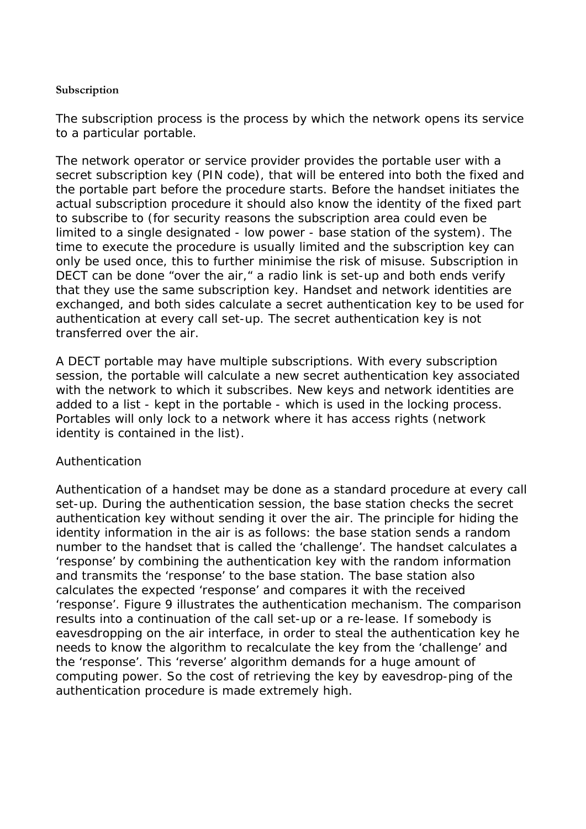#### **Subscription**

The subscription process is the process by which the network opens its service to a particular portable.

The network operator or service provider provides the portable user with a secret subscription key (PIN code), that will be entered into both the fixed and the portable part before the procedure starts. Before the handset initiates the actual subscription procedure it should also know the identity of the fixed part to subscribe to (for security reasons the subscription area could even be limited to a single designated - low power - base station of the system). The time to execute the procedure is usually limited and the subscription key can only be used once, this to further minimise the risk of misuse. Subscription in DECT can be done "over the air," a radio link is set-up and both ends verify that they use the same subscription key. Handset and network identities are exchanged, and both sides calculate a secret authentication key to be used for authentication at every call set-up. The secret authentication key is not transferred over the air.

A DECT portable may have multiple subscriptions. With every subscription session, the portable will calculate a new secret authentication key associated with the network to which it subscribes. New keys and network identities are added to a list - kept in the portable - which is used in the locking process. Portables will only lock to a network where it has access rights (network identity is contained in the list).

#### Authentication

Authentication of a handset may be done as a standard procedure at every call set-up. During the authentication session, the base station checks the secret authentication key without sending it over the air. The principle for hiding the identity information in the air is as follows: the base station sends a random number to the handset that is called the 'challenge'. The handset calculates a 'response' by combining the authentication key with the random information and transmits the 'response' to the base station. The base station also calculates the expected 'response' and compares it with the received 'response'. Figure 9 illustrates the authentication mechanism. The comparison results into a continuation of the call set-up or a re-lease. If somebody is eavesdropping on the air interface, in order to steal the authentication key he needs to know the algorithm to recalculate the key from the 'challenge' and the 'response'. This 'reverse' algorithm demands for a huge amount of computing power. So the cost of retrieving the key by eavesdrop-ping of the authentication procedure is made extremely high.